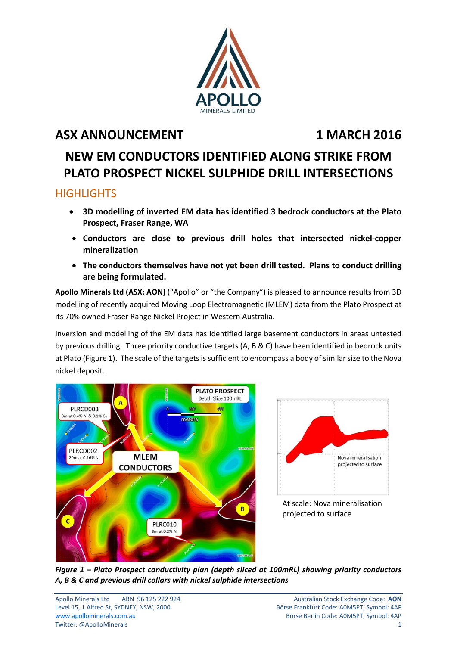

## **ASX ANNOUNCEMENT** 1 MARCH 2016

# **NEW EM CONDUCTORS IDENTIFIED ALONG STRIKE FROM PLATO PROSPECT NICKEL SULPHIDE DRILL INTERSECTIONS**

### **HIGHLIGHTS**

- **3D modelling of inverted EM data has identified 3 bedrock conductors at the Plato Prospect, Fraser Range, WA**
- **Conductors are close to previous drill holes that intersected nickel‐copper mineralization**
- **The conductors themselves have not yet been drill tested. Plans to conduct drilling are being formulated.**

**Apollo Minerals Ltd (ASX: AON)** ("Apollo" or "the Company") is pleased to announce results from 3D modelling of recently acquired Moving Loop Electromagnetic (MLEM) data from the Plato Prospect at its 70% owned Fraser Range Nickel Project in Western Australia.

Inversion and modelling of the EM data has identified large basement conductors in areas untested by previous drilling. Three priority conductive targets (A, B & C) have been identified in bedrock units at Plato (Figure 1). The scale of the targets is sufficient to encompass a body of similar size to the Nova nickel deposit.





At scale: Nova mineralisation projected to surface

*Figure 1 – Plato Prospect conductivity plan (depth sliced at 100mRL) showing priority conductors A, B & C and previous drill collars with nickel sulphide intersections*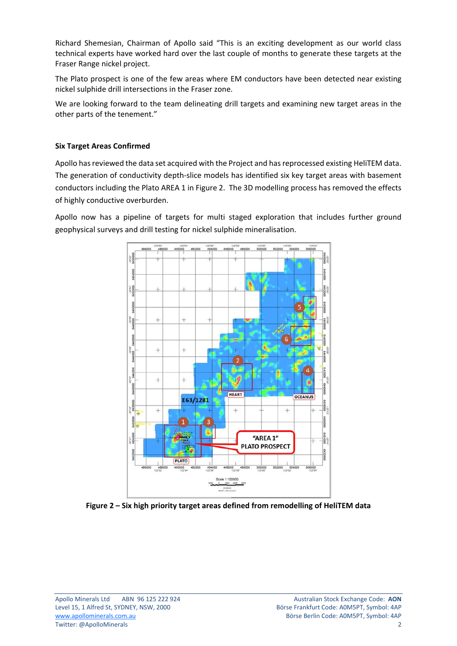Richard Shemesian, Chairman of Apollo said "This is an exciting development as our world class technical experts have worked hard over the last couple of months to generate these targets at the Fraser Range nickel project.

The Plato prospect is one of the few areas where EM conductors have been detected near existing nickel sulphide drill intersections in the Fraser zone.

We are looking forward to the team delineating drill targets and examining new target areas in the other parts of the tenement."

#### **Six Target Areas Confirmed**

Apollo has reviewed the data set acquired with the Project and has reprocessed existing HeliTEM data. The generation of conductivity depth-slice models has identified six key target areas with basement conductors including the Plato AREA 1 in Figure 2. The 3D modelling process has removed the effects of highly conductive overburden.

Apollo now has a pipeline of targets for multi staged exploration that includes further ground geophysical surveys and drill testing for nickel sulphide mineralisation.



**Figure 2 – Six high priority target areas defined from remodelling of HeliTEM data**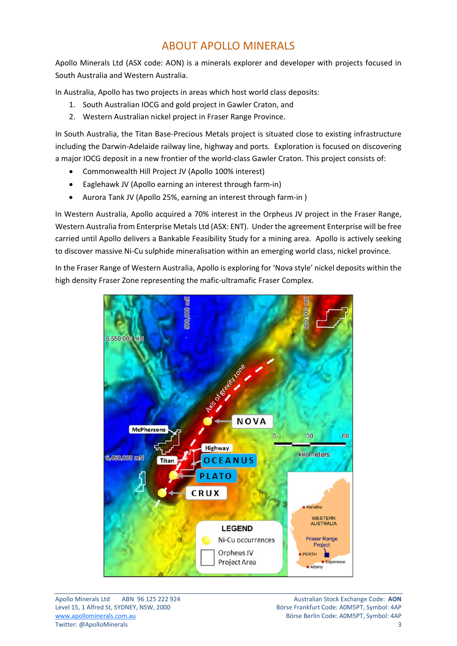### ABOUT APOLLO MINERALS

Apollo Minerals Ltd (ASX code: AON) is a minerals explorer and developer with projects focused in South Australia and Western Australia.

In Australia, Apollo has two projects in areas which host world class deposits:

- 1. South Australian IOCG and gold project in Gawler Craton, and
- 2. Western Australian nickel project in Fraser Range Province.

In South Australia, the Titan Base‐Precious Metals project is situated close to existing infrastructure including the Darwin‐Adelaide railway line, highway and ports. Exploration is focused on discovering a major IOCG deposit in a new frontier of the world-class Gawler Craton. This project consists of:

- Commonwealth Hill Project JV (Apollo 100% interest)
- Eaglehawk JV (Apollo earning an interest through farm‐in)
- Aurora Tank JV (Apollo 25%, earning an interest through farm‐in )

In Western Australia, Apollo acquired a 70% interest in the Orpheus JV project in the Fraser Range, Western Australia from Enterprise Metals Ltd (ASX: ENT). Under the agreement Enterprise will be free carried until Apollo delivers a Bankable Feasibility Study for a mining area. Apollo is actively seeking to discover massive Ni‐Cu sulphide mineralisation within an emerging world class, nickel province.

In the Fraser Range of Western Australia, Apollo is exploring for 'Nova style' nickel deposits within the high density Fraser Zone representing the mafic-ultramafic Fraser Complex.

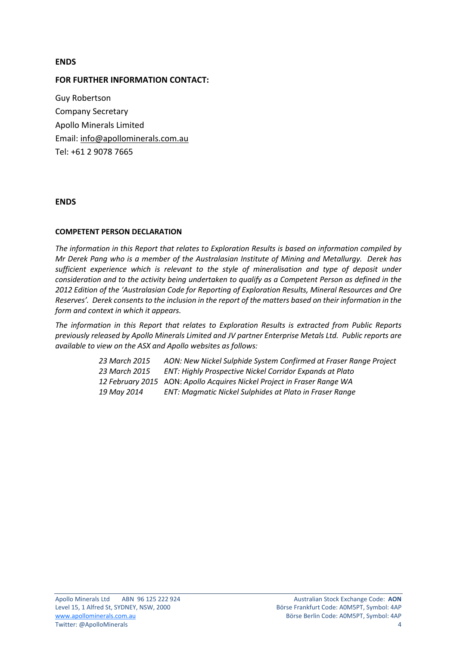#### **ENDS**

#### **FOR FURTHER INFORMATION CONTACT:**

Guy Robertson Company Secretary Apollo Minerals Limited Email: info@apollominerals.com.au Tel: +61 2 9078 7665

#### **ENDS**

#### **COMPETENT PERSON DECLARATION**

*The information in this Report that relates to Exploration Results is based on information compiled by Mr Derek Pang who is a member of the Australasian Institute of Mining and Metallurgy. Derek has sufficient experience which is relevant to the style of mineralisation and type of deposit under consideration and to the activity being undertaken to qualify as a Competent Person as defined in the 2012 Edition of the 'Australasian Code for Reporting of Exploration Results, Mineral Resources and Ore* Reserves'. Derek consents to the inclusion in the report of the matters based on their information in the *form and context in which it appears.*

*The information in this Report that relates to Exploration Results is extracted from Public Reports previously released by Apollo Minerals Limited and JV partner Enterprise Metals Ltd. Public reports are available to view on the ASX and Apollo websites as follows:*

| 23 March 2015 | AON: New Nickel Sulphide System Confirmed at Fraser Range Project       |
|---------------|-------------------------------------------------------------------------|
| 23 March 2015 | ENT: Highly Prospective Nickel Corridor Expands at Plato                |
|               | 12 February 2015 AON: Apollo Acquires Nickel Project in Fraser Range WA |
| 19 May 2014   | ENT: Magmatic Nickel Sulphides at Plato in Fraser Range                 |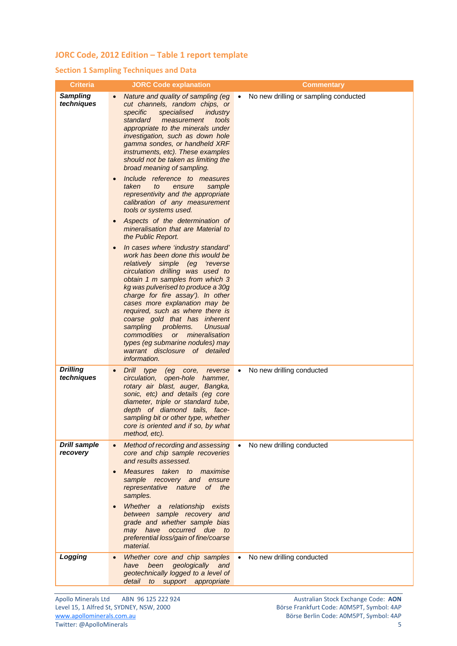#### **JORC Code, 2012 Edition – Table 1 report template**

#### **Section 1 Sampling Techniques and Data**

| <b>Criteria</b>                 | <b>JORC Code explanation</b>                                                                                                                                                                                                                                                                                                                                                                                                                                                                                                                                                                                                                                                                                                                                                                                                                                                                                                                                                                                                                                                                                                                                                                           | <b>Commentary</b>                                  |
|---------------------------------|--------------------------------------------------------------------------------------------------------------------------------------------------------------------------------------------------------------------------------------------------------------------------------------------------------------------------------------------------------------------------------------------------------------------------------------------------------------------------------------------------------------------------------------------------------------------------------------------------------------------------------------------------------------------------------------------------------------------------------------------------------------------------------------------------------------------------------------------------------------------------------------------------------------------------------------------------------------------------------------------------------------------------------------------------------------------------------------------------------------------------------------------------------------------------------------------------------|----------------------------------------------------|
| <b>Sampling</b><br>techniques   | Nature and quality of sampling (eg<br>cut channels, random chips, or<br>specific<br>specialised<br>industry<br>standard<br>measurement<br>tools<br>appropriate to the minerals under<br>investigation, such as down hole<br>gamma sondes, or handheld XRF<br>instruments, etc). These examples<br>should not be taken as limiting the<br>broad meaning of sampling.<br>Include reference to measures<br>taken<br>sample<br>to<br>ensure<br>representivity and the appropriate<br>calibration of any measurement<br>tools or systems used.<br>Aspects of the determination of<br>$\bullet$<br>mineralisation that are Material to<br>the Public Report.<br>In cases where 'industry standard'<br>work has been done this would be<br>relatively simple (eg 'reverse<br>circulation drilling was used to<br>obtain 1 m samples from which 3<br>kg was pulverised to produce a 30g<br>charge for fire assay'). In other<br>cases more explanation may be<br>required, such as where there is<br>coarse gold that has inherent<br>sampling problems.<br>Unusual<br>commodities<br><b>or</b><br>mineralisation<br>types (eg submarine nodules) may<br>warrant disclosure of detailed<br><i>information.</i> | No new drilling or sampling conducted<br>$\bullet$ |
| <b>Drilling</b><br>techniques   | Drill type<br>(eg core, reverse<br>$\bullet$<br>circulation,<br>open-hole hammer,<br>rotary air blast, auger, Bangka,<br>sonic, etc) and details (eg core<br>diameter, triple or standard tube,<br>depth of diamond tails, face-<br>sampling bit or other type, whether<br>core is oriented and if so, by what<br>method, etc).                                                                                                                                                                                                                                                                                                                                                                                                                                                                                                                                                                                                                                                                                                                                                                                                                                                                        | No new drilling conducted<br>$\bullet$             |
| <b>Drill sample</b><br>recovery | Method of recording and assessing<br>$\bullet$<br>core and chip sample recoveries<br>and results assessed.<br>Measures taken to maximise<br>$\bullet$<br>sample recovery and ensure<br>representative nature of the<br>samples.<br>Whether a relationship exists<br>$\bullet$<br>between sample recovery and<br>grade and whether sample bias<br>may have occurred due to<br>preferential loss/gain of fine/coarse<br>material.                                                                                                                                                                                                                                                                                                                                                                                                                                                                                                                                                                                                                                                                                                                                                                        | No new drilling conducted<br>$\bullet$             |
| Logging                         | Whether core and chip samples<br>$\bullet$<br>have been geologically and<br>geotechnically logged to a level of<br>detail to support appropriate                                                                                                                                                                                                                                                                                                                                                                                                                                                                                                                                                                                                                                                                                                                                                                                                                                                                                                                                                                                                                                                       | No new drilling conducted<br>$\bullet$             |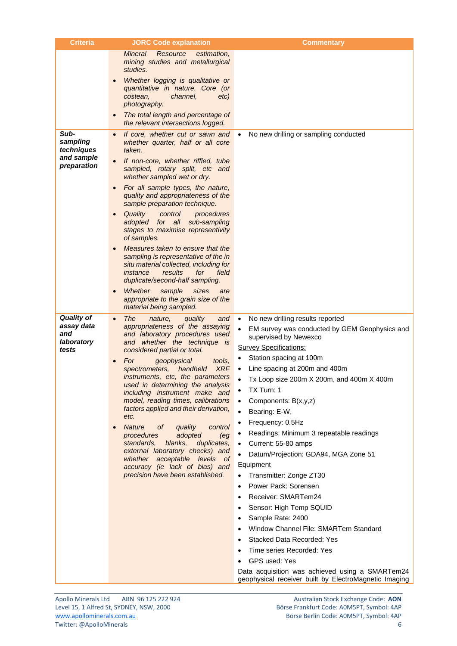| <b>Criteria</b>        | <b>JORC Code explanation</b>                                                   | <b>Commentary</b>                                                                                        |
|------------------------|--------------------------------------------------------------------------------|----------------------------------------------------------------------------------------------------------|
|                        | Mineral<br>Resource<br>estimation,                                             |                                                                                                          |
|                        | mining studies and metallurgical<br>studies.                                   |                                                                                                          |
|                        | Whether logging is qualitative or                                              |                                                                                                          |
|                        | quantitative in nature. Core (or                                               |                                                                                                          |
|                        | costean,<br>channel,<br>etc)                                                   |                                                                                                          |
|                        | photography.<br>The total length and percentage of                             |                                                                                                          |
|                        | the relevant intersections logged.                                             |                                                                                                          |
| Sub-                   | If core, whether cut or sawn and                                               | No new drilling or sampling conducted<br>$\bullet$                                                       |
| sampling<br>techniques | whether quarter, half or all core<br>taken.                                    |                                                                                                          |
| and sample             | If non-core, whether riffled, tube                                             |                                                                                                          |
| preparation            | sampled, rotary split, etc and<br>whether sampled wet or dry.                  |                                                                                                          |
|                        | For all sample types, the nature,                                              |                                                                                                          |
|                        | quality and appropriateness of the<br>sample preparation technique.            |                                                                                                          |
|                        | Quality<br>control<br>procedures                                               |                                                                                                          |
|                        | adopted for all<br>sub-sampling<br>stages to maximise representivity           |                                                                                                          |
|                        | of samples.                                                                    |                                                                                                          |
|                        | Measures taken to ensure that the                                              |                                                                                                          |
|                        | sampling is representative of the in<br>situ material collected, including for |                                                                                                          |
|                        | field<br>instance<br>results<br>for                                            |                                                                                                          |
|                        | duplicate/second-half sampling.                                                |                                                                                                          |
|                        | Whether<br>sample<br>sizes<br>are<br>appropriate to the grain size of the      |                                                                                                          |
|                        | material being sampled.                                                        |                                                                                                          |
| <b>Quality of</b>      | The<br>nature,<br>quality<br>and<br>$\bullet$                                  | No new drilling results reported<br>$\bullet$                                                            |
| assay data<br>and      | appropriateness of the assaying<br>and laboratory procedures used              | EM survey was conducted by GEM Geophysics and<br>supervised by Newexco                                   |
| laboratory             | and whether the technique is                                                   | <b>Survey Specifications:</b>                                                                            |
| tests                  | considered partial or total.                                                   | Station spacing at 100m                                                                                  |
|                        | For<br>geophysical<br>tools.<br>XRF<br>spectrometers, handheld                 | Line spacing at 200m and 400m<br>$\bullet$                                                               |
|                        | instruments, etc, the parameters                                               | Tx Loop size 200m X 200m, and 400m X 400m                                                                |
|                        | used in determining the analysis<br>including instrument make and              | TX Turn: 1<br>$\bullet$                                                                                  |
|                        | model, reading times, calibrations                                             | Components: B(x,y,z)<br>$\bullet$                                                                        |
|                        | factors applied and their derivation,<br>etc.                                  | Bearing: E-W,<br>$\bullet$                                                                               |
|                        | <b>Nature</b><br>quality<br>0f<br>control<br>$\bullet$                         | Frequency: 0.5Hz<br>٠                                                                                    |
|                        | adopted<br>procedures<br>(eg                                                   | Readings: Minimum 3 repeatable readings<br>$\bullet$                                                     |
|                        | blanks,<br>standards,<br>duplicates,<br>external laboratory checks) and        | Current: 55-80 amps<br>$\bullet$                                                                         |
|                        | whether acceptable levels of                                                   | Datum/Projection: GDA94, MGA Zone 51                                                                     |
|                        | accuracy (ie lack of bias) and<br>precision have been established.             | <b>Equipment</b><br>Transmitter: Zonge ZT30<br>$\bullet$                                                 |
|                        |                                                                                | Power Pack: Sorensen<br>$\bullet$                                                                        |
|                        |                                                                                | Receiver: SMARTem24<br>$\bullet$                                                                         |
|                        |                                                                                | Sensor: High Temp SQUID<br>٠                                                                             |
|                        |                                                                                | Sample Rate: 2400<br>٠                                                                                   |
|                        |                                                                                | Window Channel File: SMARTem Standard                                                                    |
|                        |                                                                                | <b>Stacked Data Recorded: Yes</b>                                                                        |
|                        |                                                                                | Time series Recorded: Yes                                                                                |
|                        |                                                                                | <b>GPS used: Yes</b>                                                                                     |
|                        |                                                                                | Data acquisition was achieved using a SMARTem24<br>geophysical receiver built by ElectroMagnetic Imaging |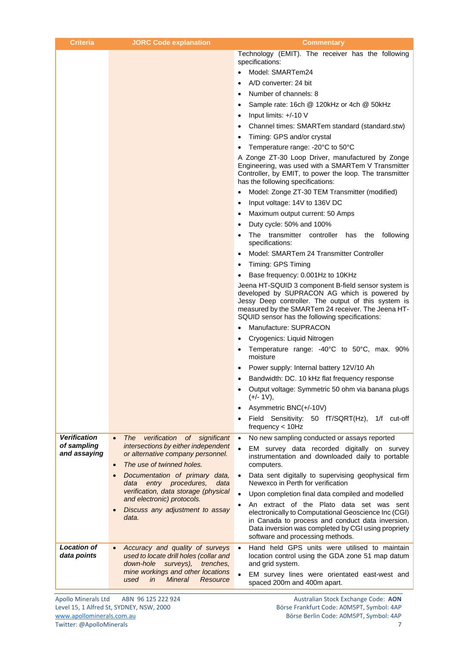| <b>Criteria</b>                   | <b>JORC Code explanation</b>                                                                                     | <b>Commentary</b>                                                                                                                                                                                                                                                  |
|-----------------------------------|------------------------------------------------------------------------------------------------------------------|--------------------------------------------------------------------------------------------------------------------------------------------------------------------------------------------------------------------------------------------------------------------|
|                                   |                                                                                                                  | Technology (EMIT). The receiver has the following<br>specifications:                                                                                                                                                                                               |
|                                   |                                                                                                                  | Model: SMARTem24                                                                                                                                                                                                                                                   |
|                                   |                                                                                                                  | A/D converter: 24 bit                                                                                                                                                                                                                                              |
|                                   |                                                                                                                  | Number of channels: 8                                                                                                                                                                                                                                              |
|                                   |                                                                                                                  | Sample rate: 16ch @ 120kHz or 4ch @ 50kHz<br>٠                                                                                                                                                                                                                     |
|                                   |                                                                                                                  | Input limits: +/-10 V<br>٠                                                                                                                                                                                                                                         |
|                                   |                                                                                                                  | Channel times: SMARTem standard (standard.stw)                                                                                                                                                                                                                     |
|                                   |                                                                                                                  | Timing: GPS and/or crystal<br>٠                                                                                                                                                                                                                                    |
|                                   |                                                                                                                  | Temperature range: -20°C to 50°C                                                                                                                                                                                                                                   |
|                                   |                                                                                                                  | A Zonge ZT-30 Loop Driver, manufactured by Zonge<br>Engineering, was used with a SMARTem V Transmitter<br>Controller, by EMIT, to power the loop. The transmitter<br>has the following specifications:                                                             |
|                                   |                                                                                                                  | Model: Zonge ZT-30 TEM Transmitter (modified)                                                                                                                                                                                                                      |
|                                   |                                                                                                                  | Input voltage: 14V to 136V DC<br>$\bullet$                                                                                                                                                                                                                         |
|                                   |                                                                                                                  | Maximum output current: 50 Amps<br>٠                                                                                                                                                                                                                               |
|                                   |                                                                                                                  | Duty cycle: 50% and 100%<br>$\bullet$                                                                                                                                                                                                                              |
|                                   |                                                                                                                  | The transmitter controller has<br>the following<br>specifications:                                                                                                                                                                                                 |
|                                   |                                                                                                                  | Model: SMARTem 24 Transmitter Controller                                                                                                                                                                                                                           |
|                                   |                                                                                                                  | Timing: GPS Timing                                                                                                                                                                                                                                                 |
|                                   |                                                                                                                  | Base frequency: 0.001Hz to 10KHz                                                                                                                                                                                                                                   |
|                                   |                                                                                                                  | Jeena HT-SQUID 3 component B-field sensor system is<br>developed by SUPRACON AG which is powered by<br>Jessy Deep controller. The output of this system is<br>measured by the SMARTem 24 receiver. The Jeena HT-<br>SQUID sensor has the following specifications: |
|                                   |                                                                                                                  | Manufacture: SUPRACON                                                                                                                                                                                                                                              |
|                                   |                                                                                                                  | Cryogenics: Liquid Nitrogen                                                                                                                                                                                                                                        |
|                                   |                                                                                                                  | Temperature range: -40°C to 50°C, max. 90%<br>٠<br>moisture                                                                                                                                                                                                        |
|                                   |                                                                                                                  | Power supply: Internal battery 12V/10 Ah                                                                                                                                                                                                                           |
|                                   |                                                                                                                  | Bandwidth: DC. 10 kHz flat frequency response<br>٠                                                                                                                                                                                                                 |
|                                   |                                                                                                                  | Output voltage: Symmetric 50 ohm via banana plugs<br>$(+/- 1V),$                                                                                                                                                                                                   |
|                                   |                                                                                                                  | Asymmetric BNC(+/-10V)<br>$\bullet$                                                                                                                                                                                                                                |
|                                   |                                                                                                                  | Field Sensitivity: 50 fT/SQRT(Hz), 1/f cut-off<br>frequency < 10Hz                                                                                                                                                                                                 |
| <b>Verification</b>               | verification of significant<br>The<br>$\bullet$                                                                  | No new sampling conducted or assays reported<br>$\bullet$                                                                                                                                                                                                          |
| of sampling<br>and assaying       | intersections by either independent<br>or alternative company personnel.<br>The use of twinned holes.            | EM survey data recorded digitally on survey<br>instrumentation and downloaded daily to portable                                                                                                                                                                    |
|                                   | $\bullet$<br>Documentation of primary data,                                                                      | computers.<br>Data sent digitally to supervising geophysical firm<br>$\bullet$                                                                                                                                                                                     |
|                                   | data entry procedures,<br>data                                                                                   | Newexco in Perth for verification                                                                                                                                                                                                                                  |
|                                   | verification, data storage (physical<br>and electronic) protocols.                                               | Upon completion final data compiled and modelled<br>$\bullet$                                                                                                                                                                                                      |
|                                   | Discuss any adjustment to assay<br>data.                                                                         | An extract of the Plato data set was sent<br>$\bullet$<br>electronically to Computational Geoscience Inc (CGI)<br>in Canada to process and conduct data inversion.<br>Data inversion was completed by CGI using propriety<br>software and processing methods.      |
| <b>Location of</b><br>data points | Accuracy and quality of surveys<br>used to locate drill holes (collar and<br>down-hole<br>surveys),<br>trenches, | Hand held GPS units were utilised to maintain<br>$\bullet$<br>location control using the GDA zone 51 map datum<br>and grid system.                                                                                                                                 |
|                                   | mine workings and other locations<br><b>Mineral</b><br>Resource<br>used<br>in                                    | EM survey lines were orientated east-west and<br>$\bullet$<br>spaced 200m and 400m apart.                                                                                                                                                                          |
| Anollo Minorale Itd               | ADNL OC 12E 222 024                                                                                              | Australian Stock Exchange Code: AON                                                                                                                                                                                                                                |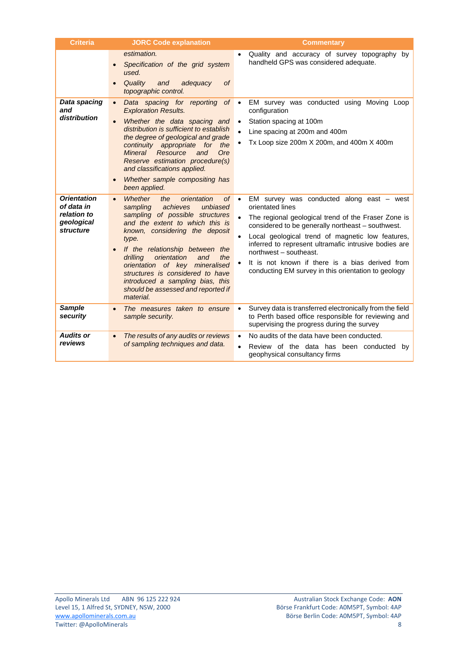| <b>Criteria</b>                                                            | <b>JORC Code explanation</b>                                                                                                                                                                                                                                                                                                                                                                                                                          | <b>Commentary</b>                                                                                                                                                                                                                                                                                                                                                                                                                                      |
|----------------------------------------------------------------------------|-------------------------------------------------------------------------------------------------------------------------------------------------------------------------------------------------------------------------------------------------------------------------------------------------------------------------------------------------------------------------------------------------------------------------------------------------------|--------------------------------------------------------------------------------------------------------------------------------------------------------------------------------------------------------------------------------------------------------------------------------------------------------------------------------------------------------------------------------------------------------------------------------------------------------|
|                                                                            | estimation.<br>Specification of the grid system<br>used.<br>Quality<br>and<br>adequacy<br><sub>of</sub><br>topographic control.                                                                                                                                                                                                                                                                                                                       | Quality and accuracy of survey topography by<br>$\bullet$<br>handheld GPS was considered adequate.                                                                                                                                                                                                                                                                                                                                                     |
| Data spacing<br>and<br>distribution                                        | $of \bullet$<br>Data spacing for reporting<br>$\bullet$<br><b>Exploration Results.</b><br>Whether the data spacing and<br>$\bullet$<br>distribution is sufficient to establish<br>the degree of geological and grade<br>continuity appropriate for<br>the<br>Mineral<br>Resource<br>Ore<br>and<br>Reserve estimation procedure(s)<br>and classifications applied.<br>Whether sample compositing has<br>been applied.                                  | EM survey was conducted using Moving Loop<br>configuration<br>Station spacing at 100m<br>$\bullet$<br>Line spacing at 200m and 400m<br>Tx Loop size 200m X 200m, and 400m X 400m<br>$\bullet$                                                                                                                                                                                                                                                          |
| <b>Orientation</b><br>of data in<br>relation to<br>geological<br>structure | <b>Whether</b><br>of<br>orientation<br>the<br>$\bullet$<br>achieves<br>unbiased<br>sampling<br>sampling of possible structures<br>and the extent to which this is<br>known, considering the deposit<br>type.<br>If the relationship between the<br>orientation<br>the<br>drilling<br>and<br>orientation of key mineralised<br>structures is considered to have<br>introduced a sampling bias, this<br>should be assessed and reported if<br>material. | EM survey was conducted along east $-$ west<br>$\bullet$<br>orientated lines<br>The regional geological trend of the Fraser Zone is<br>considered to be generally northeast - southwest.<br>Local geological trend of magnetic low features,<br>$\bullet$<br>inferred to represent ultramafic intrusive bodies are<br>northwest - southeast.<br>It is not known if there is a bias derived from<br>conducting EM survey in this orientation to geology |
| <b>Sample</b><br>security                                                  | The measures taken to ensure<br>sample security.                                                                                                                                                                                                                                                                                                                                                                                                      | Survey data is transferred electronically from the field<br>to Perth based office responsible for reviewing and<br>supervising the progress during the survey                                                                                                                                                                                                                                                                                          |
| <b>Audits or</b><br>reviews                                                | The results of any audits or reviews<br>$\bullet$<br>of sampling techniques and data.                                                                                                                                                                                                                                                                                                                                                                 | No audits of the data have been conducted.<br>$\bullet$<br>Review of the data has been conducted<br>by<br>$\bullet$<br>geophysical consultancy firms                                                                                                                                                                                                                                                                                                   |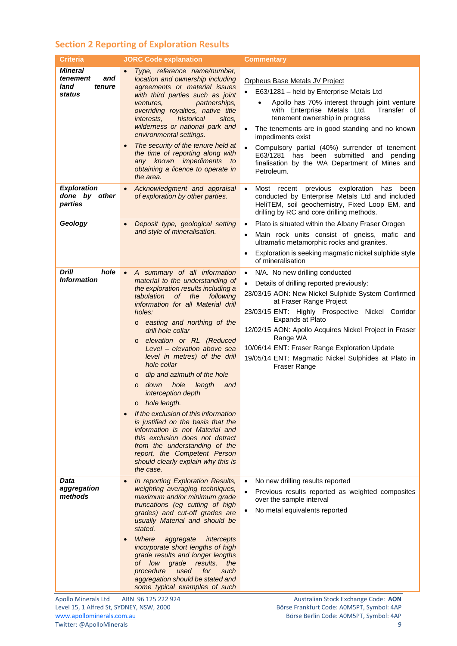### **Section 2 Reporting of Exploration Results**

| <b>Criteria</b>                                               | <b>JORC Code explanation</b>                                                                                                                                                                                                                                                                                                                                                                                                                                                                                                                                                                                                                                                                                                                                                                                                                                                                                                                                                                                                                 | <b>Commentary</b>                                                                                                                                                                                                                                                                                                                                                                                                                                             |
|---------------------------------------------------------------|----------------------------------------------------------------------------------------------------------------------------------------------------------------------------------------------------------------------------------------------------------------------------------------------------------------------------------------------------------------------------------------------------------------------------------------------------------------------------------------------------------------------------------------------------------------------------------------------------------------------------------------------------------------------------------------------------------------------------------------------------------------------------------------------------------------------------------------------------------------------------------------------------------------------------------------------------------------------------------------------------------------------------------------------|---------------------------------------------------------------------------------------------------------------------------------------------------------------------------------------------------------------------------------------------------------------------------------------------------------------------------------------------------------------------------------------------------------------------------------------------------------------|
| <b>Mineral</b><br>tenement<br>and<br>land<br>tenure<br>status | Type, reference name/number,<br>location and ownership including<br>agreements or material issues<br>with third parties such as joint<br>partnerships,<br><i>ventures,</i><br>overriding royalties, native title<br>historical<br><i>interests,</i><br>sites,<br>wilderness or national park and<br>environmental settings.<br>The security of the tenure held at<br>$\bullet$<br>the time of reporting along with<br>any known impediments<br>to<br>obtaining a licence to operate in<br>the area.                                                                                                                                                                                                                                                                                                                                                                                                                                                                                                                                          | Orpheus Base Metals JV Project<br>E63/1281 - held by Enterprise Metals Ltd<br>Apollo has 70% interest through joint venture<br>$\bullet$<br>with Enterprise Metals Ltd.<br>Transfer of<br>tenement ownership in progress<br>The tenements are in good standing and no known<br>impediments exist<br>Compulsory partial (40%) surrender of tenement<br>E63/1281 has been submitted and pending<br>finalisation by the WA Department of Mines and<br>Petroleum. |
| <b>Exploration</b><br>done by other<br>parties                | Acknowledgment and appraisal<br>$\bullet$<br>of exploration by other parties.                                                                                                                                                                                                                                                                                                                                                                                                                                                                                                                                                                                                                                                                                                                                                                                                                                                                                                                                                                | Most recent previous<br>exploration<br>has<br>been<br>$\bullet$<br>conducted by Enterprise Metals Ltd and included<br>HeliTEM, soil geochemistry, Fixed Loop EM, and<br>drilling by RC and core drilling methods.                                                                                                                                                                                                                                             |
| Geology                                                       | Deposit type, geological setting<br>$\bullet$<br>and style of mineralisation.                                                                                                                                                                                                                                                                                                                                                                                                                                                                                                                                                                                                                                                                                                                                                                                                                                                                                                                                                                | Plato is situated within the Albany Fraser Orogen<br>$\bullet$<br>Main rock units consist of gneiss, mafic and<br>ultramafic metamorphic rocks and granites.<br>Exploration is seeking magmatic nickel sulphide style<br>of mineralisation                                                                                                                                                                                                                    |
| Drill<br>hole<br><b>Information</b>                           | A summary of all information<br>$\bullet$<br>material to the understanding of<br>the exploration results including a<br>tabulation<br>of compared to the order of the content of the content of the content of the content of the content of the content of the content of the content of the content of the content of the content of the content of the content of<br>the<br>following<br>information for all Material drill<br>holes:<br>easting and northing of the<br>$\circ$<br>drill hole collar<br>elevation or RL (Reduced<br>$\circ$<br>Level - elevation above sea<br>level in metres) of the drill<br>hole collar<br>dip and azimuth of the hole<br>$\circ$<br>hole<br>down<br>length<br>and<br>$\circ$<br>interception depth<br>hole length.<br>$\circ$<br>If the exclusion of this information<br>is justified on the basis that the<br>information is not Material and<br>this exclusion does not detract<br>from the understanding of the<br>report, the Competent Person<br>should clearly explain why this is<br>the case. | N/A. No new drilling conducted<br>$\bullet$<br>Details of drilling reported previously:<br>23/03/15 AON: New Nickel Sulphide System Confirmed<br>at Fraser Range Project<br>23/03/15 ENT: Highly Prospective Nickel Corridor<br><b>Expands at Plato</b><br>12/02/15 AON: Apollo Acquires Nickel Project in Fraser<br>Range WA<br>10/06/14 ENT: Fraser Range Exploration Update<br>19/05/14 ENT: Magmatic Nickel Sulphides at Plato in<br><b>Fraser Range</b>  |
| Data<br>aggregation<br>methods                                | In reporting Exploration Results,<br>weighting averaging techniques,<br>maximum and/or minimum grade<br>truncations (eg cutting of high<br>grades) and cut-off grades are<br>usually Material and should be<br>stated.<br>Where<br>aggregate<br>intercepts<br>$\bullet$<br>incorporate short lengths of high<br>grade results and longer lengths<br>of low grade<br>results.<br>the<br>procedure<br>used<br>for<br>such<br>aggregation should be stated and<br>some typical examples of such                                                                                                                                                                                                                                                                                                                                                                                                                                                                                                                                                 | No new drilling results reported<br>$\bullet$<br>Previous results reported as weighted composites<br>over the sample interval<br>No metal equivalents reported                                                                                                                                                                                                                                                                                                |